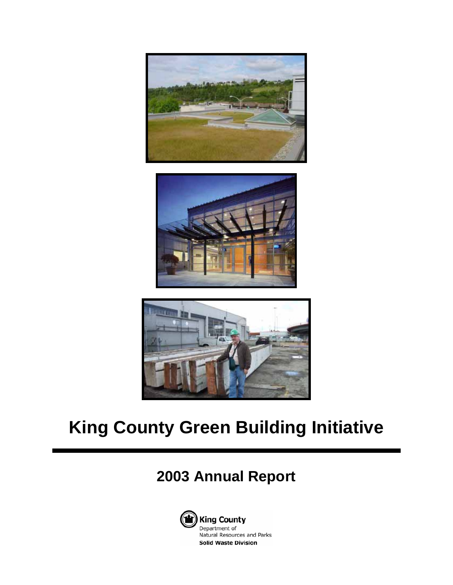





# **King County Green Building Initiative**

## **2003 Annual Report**

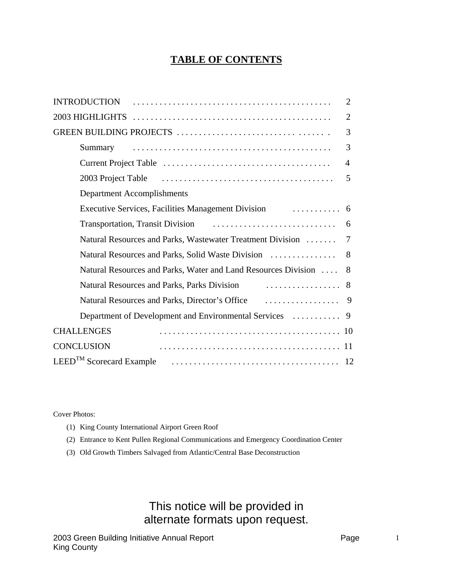## **TABLE OF CONTENTS**

| <b>INTRODUCTION</b>                                                                                                                                                                                                                 | $\overline{2}$ |
|-------------------------------------------------------------------------------------------------------------------------------------------------------------------------------------------------------------------------------------|----------------|
|                                                                                                                                                                                                                                     | $\overline{2}$ |
|                                                                                                                                                                                                                                     | 3              |
| Summary                                                                                                                                                                                                                             | 3              |
|                                                                                                                                                                                                                                     | $\overline{A}$ |
| 2003 Project Table (also contained a series and also contained a series and a series and a series of the serie                                                                                                                      | 5              |
| Department Accomplishments                                                                                                                                                                                                          |                |
|                                                                                                                                                                                                                                     | -6             |
|                                                                                                                                                                                                                                     | 6              |
| Natural Resources and Parks, Wastewater Treatment Division                                                                                                                                                                          | 7              |
| Natural Resources and Parks, Solid Waste Division                                                                                                                                                                                   | 8              |
| Natural Resources and Parks, Water and Land Resources Division                                                                                                                                                                      | 8              |
|                                                                                                                                                                                                                                     |                |
| Natural Resources and Parks, Director's Office <i>matures</i> and Parks and Parks and Parks and Parks and Parks and Parks and Parks and Parks and Parks and Parks and Parks and Parks and Parks and Parks and Parks and Parks and P | 9              |
| Department of Development and Environmental Services                                                                                                                                                                                | -9             |
| <b>CHALLENGES</b>                                                                                                                                                                                                                   |                |
| <b>CONCLUSION</b>                                                                                                                                                                                                                   |                |
|                                                                                                                                                                                                                                     |                |

Cover Photos:

- (1) King County International Airport Green Roof
- (2) Entrance to Kent Pullen Regional Communications and Emergency Coordination Center
- (3) Old Growth Timbers Salvaged from Atlantic/Central Base Deconstruction

## This notice will be provided in alternate formats upon request.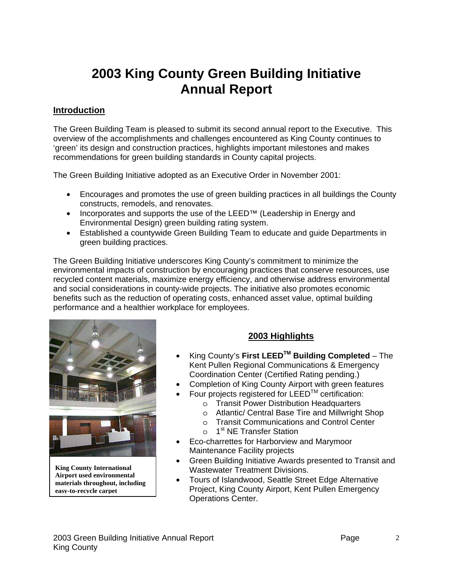## **2003 King County Green Building Initiative Annual Report**

#### **Introduction**

The Green Building Team is pleased to submit its second annual report to the Executive. This overview of the accomplishments and challenges encountered as King County continues to 'green' its design and construction practices, highlights important milestones and makes recommendations for green building standards in County capital projects.

The Green Building Initiative adopted as an Executive Order in November 2001:

- Encourages and promotes the use of green building practices in all buildings the County constructs, remodels, and renovates.
- Incorporates and supports the use of the LEED<sup>™</sup> (Leadership in Energy and Environmental Design) green building rating system.
- Established a countywide Green Building Team to educate and guide Departments in green building practices.

The Green Building Initiative underscores King County's commitment to minimize the environmental impacts of construction by encouraging practices that conserve resources, use recycled content materials, maximize energy efficiency, and otherwise address environmental and social considerations in county-wide projects. The initiative also promotes economic benefits such as the reduction of operating costs, enhanced asset value, optimal building performance and a healthier workplace for employees.



**King County International Airport used environmental materials throughout, including easy-to-recycle carpet** 

## **2003 Highlights**

- King County's **First LEEDTM Building Completed** The Kent Pullen Regional Communications & Emergency Coordination Center (Certified Rating pending.)
- Completion of King County Airport with green features
	- Four projects registered for LEEDTM certification:
		- o Transit Power Distribution Headquarters
		- o Atlantic/ Central Base Tire and Millwright Shop
		- o Transit Communications and Control Center
		- o 1<sup>st</sup> NE Transfer Station
- Eco-charrettes for Harborview and Marymoor Maintenance Facility projects
- Green Building Initiative Awards presented to Transit and Wastewater Treatment Divisions.
- Tours of Islandwood, Seattle Street Edge Alternative Project, King County Airport, Kent Pullen Emergency Operations Center.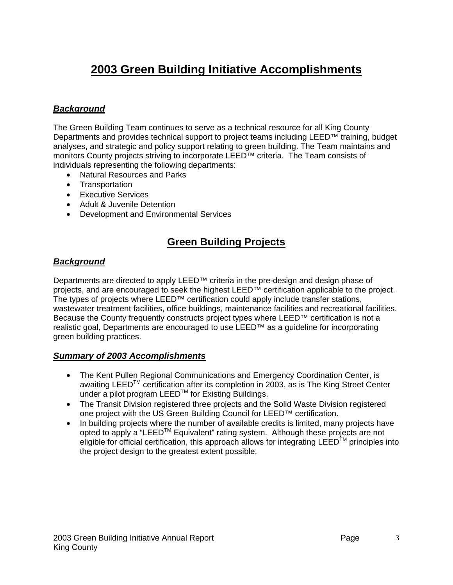## **2003 Green Building Initiative Accomplishments**

#### *Background*

The Green Building Team continues to serve as a technical resource for all King County Departments and provides technical support to project teams including LEED™ training, budget analyses, and strategic and policy support relating to green building. The Team maintains and monitors County projects striving to incorporate LEED™ criteria. The Team consists of individuals representing the following departments:

- Natural Resources and Parks
- Transportation
- Executive Services
- Adult & Juvenile Detention
- Development and Environmental Services

## **Green Building Projects**

#### *Background*

Departments are directed to apply LEED<sup>™</sup> criteria in the pre-design and design phase of projects, and are encouraged to seek the highest LEED™ certification applicable to the project. The types of projects where LEED™ certification could apply include transfer stations, wastewater treatment facilities, office buildings, maintenance facilities and recreational facilities. Because the County frequently constructs project types where LEED™ certification is not a realistic goal, Departments are encouraged to use LEED™ as a guideline for incorporating green building practices.

#### *Summary of 2003 Accomplishments*

- The Kent Pullen Regional Communications and Emergency Coordination Center, is awaiting LEED<sup>™</sup> certification after its completion in 2003, as is The King Street Center under a pilot program LEEDTM for Existing Buildings.
- The Transit Division registered three projects and the Solid Waste Division registered one project with the US Green Building Council for LEED™ certification.
- In building projects where the number of available credits is limited, many projects have opted to apply a "LEED™ Equivalent" rating system. Although these projects are not eligible for official certification, this approach allows for integrating LEED<sup>TM</sup> principles into the project design to the greatest extent possible.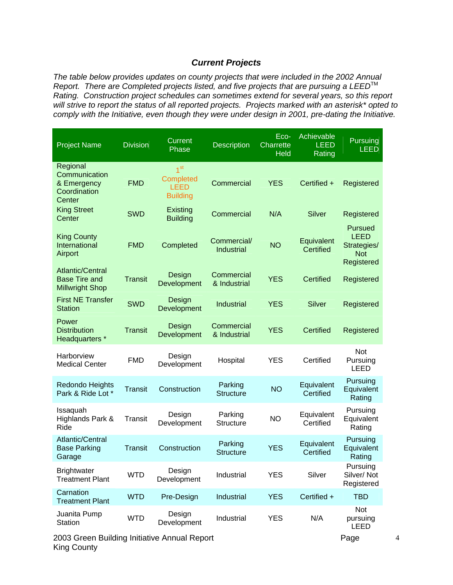#### *Current Projects*

*The table below provides updates on county projects that were included in the 2002 Annual Report.* There are Completed projects listed, and five projects that are pursuing a LEED<sup>™</sup> *Rating. Construction project schedules can sometimes extend for several years, so this report will strive to report the status of all reported projects. Projects marked with an asterisk\* opted to comply with the Initiative, even though they were under design in 2001, pre-dating the Initiative.* 

| <b>Project Name</b>                                                       | <b>Division</b> | Current<br>Phase                                               | <b>Description</b>          | Eco-<br><b>Charrette</b><br>Held | Achievable<br><b>LEED</b><br>Rating | Pursuing<br><b>LEED</b>                                           |
|---------------------------------------------------------------------------|-----------------|----------------------------------------------------------------|-----------------------------|----------------------------------|-------------------------------------|-------------------------------------------------------------------|
| Regional<br>Communication<br>& Emergency<br>Coordination<br>Center        | <b>FMD</b>      | 1 <sup>st</sup><br>Completed<br><b>LEED</b><br><b>Building</b> | Commercial                  | <b>YES</b>                       | Certified +                         | Registered                                                        |
| <b>King Street</b><br>Center                                              | <b>SWD</b>      | Existing<br><b>Building</b>                                    | Commercial                  | N/A                              | <b>Silver</b>                       | Registered                                                        |
| <b>King County</b><br>International<br>Airport                            | <b>FMD</b>      | Completed                                                      | Commercial/<br>Industrial   | <b>NO</b>                        | Equivalent<br>Certified             | Pursued<br><b>LEED</b><br>Strategies/<br><b>Not</b><br>Registered |
| <b>Atlantic/Central</b><br><b>Base Tire and</b><br><b>Millwright Shop</b> | <b>Transit</b>  | Design<br>Development                                          | Commercial<br>& Industrial  | <b>YES</b>                       | Certified                           | Registered                                                        |
| <b>First NE Transfer</b><br><b>Station</b>                                | <b>SWD</b>      | Design<br>Development                                          | Industrial                  | <b>YES</b>                       | <b>Silver</b>                       | Registered                                                        |
| Power<br><b>Distribution</b><br>Headquarters *                            | <b>Transit</b>  | Design<br>Development                                          | Commercial<br>& Industrial  | <b>YES</b>                       | Certified                           | Registered                                                        |
| Harborview<br><b>Medical Center</b>                                       | <b>FMD</b>      | Design<br>Development                                          | Hospital                    | <b>YES</b>                       | Certified                           | <b>Not</b><br>Pursuing<br>LEED                                    |
| <b>Redondo Heights</b><br>Park & Ride Lot *                               | <b>Transit</b>  | Construction                                                   | Parking<br><b>Structure</b> | <b>NO</b>                        | Equivalent<br>Certified             | Pursuing<br>Equivalent<br>Rating                                  |
| Issaquah<br>Highlands Park &<br>Ride                                      | Transit         | Design<br>Development                                          | Parking<br><b>Structure</b> | NO.                              | Equivalent<br>Certified             | Pursuing<br>Equivalent<br>Rating                                  |
| Atlantic/Central<br><b>Base Parking</b><br>Garage                         | <b>Transit</b>  | Construction                                                   | Parking<br><b>Structure</b> | <b>YES</b>                       | Equivalent<br>Certified             | Pursuing<br>Equivalent<br>Rating                                  |
| <b>Brightwater</b><br><b>Treatment Plant</b>                              | <b>WTD</b>      | Design<br>Development                                          | Industrial                  | <b>YES</b>                       | Silver                              | Pursuing<br>Silver/Not<br>Registered                              |
| Carnation<br><b>Treatment Plant</b>                                       | <b>WTD</b>      | Pre-Design                                                     | Industrial                  | <b>YES</b>                       | Certified +                         | <b>TBD</b>                                                        |
| Juanita Pump<br>Station                                                   | <b>WTD</b>      | Design<br>Development                                          | Industrial                  | <b>YES</b>                       | N/A                                 | <b>Not</b><br>pursuing<br>LEED                                    |

2003 Green Building Initiative Annual Report Page King County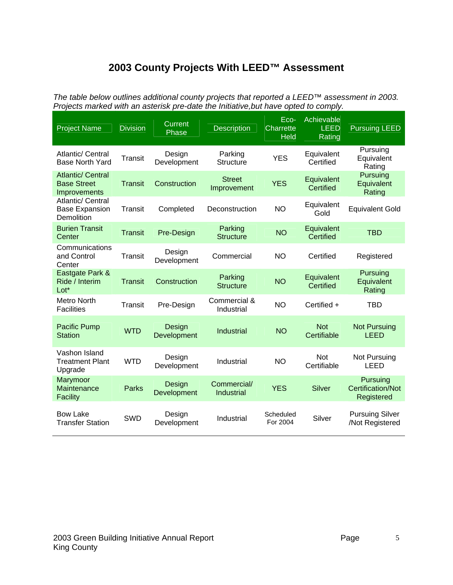## **2003 County Projects With LEED™ Assessment**

*The table below outlines additional county projects that reported a LEED™ assessment in 2003. Projects marked with an asterisk pre-date the Initiative,but have opted to comply.* 

| <b>Project Name</b>                                            | <b>Division</b> | <b>Current</b><br>Phase | <b>Description</b>           | Eco-<br><b>Charrette</b><br><b>Held</b> | Achievable<br><b>LEED</b><br>Rating | <b>Pursuing LEED</b>                               |
|----------------------------------------------------------------|-----------------|-------------------------|------------------------------|-----------------------------------------|-------------------------------------|----------------------------------------------------|
| Atlantic/ Central<br><b>Base North Yard</b>                    | <b>Transit</b>  | Design<br>Development   | Parking<br><b>Structure</b>  | <b>YES</b>                              | Equivalent<br>Certified             | Pursuing<br>Equivalent<br>Rating                   |
| <b>Atlantic/ Central</b><br><b>Base Street</b><br>Improvements | <b>Transit</b>  | Construction            | <b>Street</b><br>Improvement | <b>YES</b>                              | Equivalent<br>Certified             | Pursuing<br>Equivalent<br>Rating                   |
| Atlantic/ Central<br><b>Base Expansion</b><br>Demolition       | Transit         | Completed               | Deconstruction               | <b>NO</b>                               | Equivalent<br>Gold                  | <b>Equivalent Gold</b>                             |
| <b>Burien Transit</b><br>Center                                | <b>Transit</b>  | Pre-Design              | Parking<br><b>Structure</b>  | <b>NO</b>                               | Equivalent<br>Certified             | <b>TBD</b>                                         |
| Communications<br>and Control<br>Center                        | <b>Transit</b>  | Design<br>Development   | Commercial                   | <b>NO</b>                               | Certified                           | Registered                                         |
| Eastgate Park &<br>Ride / Interim<br>Lot*                      | <b>Transit</b>  | Construction            | Parking<br><b>Structure</b>  | <b>NO</b>                               | Equivalent<br>Certified             | Pursuing<br>Equivalent<br>Rating                   |
| Metro North<br><b>Facilities</b>                               | <b>Transit</b>  | Pre-Design              | Commercial &<br>Industrial   | <b>NO</b>                               | Certified +                         | <b>TBD</b>                                         |
| <b>Pacific Pump</b><br><b>Station</b>                          | <b>WTD</b>      | Design<br>Development   | Industrial                   | <b>NO</b>                               | <b>Not</b><br>Certifiable           | <b>Not Pursuing</b><br><b>LEED</b>                 |
| Vashon Island<br><b>Treatment Plant</b><br>Upgrade             | <b>WTD</b>      | Design<br>Development   | Industrial                   | <b>NO</b>                               | <b>Not</b><br>Certifiable           | Not Pursuing<br>LEED                               |
| Marymoor<br>Maintenance<br><b>Facility</b>                     | <b>Parks</b>    | Design<br>Development   | Commercial/<br>Industrial    | <b>YES</b>                              | <b>Silver</b>                       | Pursuing<br><b>Certification/Not</b><br>Registered |
| <b>Bow Lake</b><br><b>Transfer Station</b>                     | <b>SWD</b>      | Design<br>Development   | Industrial                   | Scheduled<br>For 2004                   | Silver                              | <b>Pursuing Silver</b><br>/Not Registered          |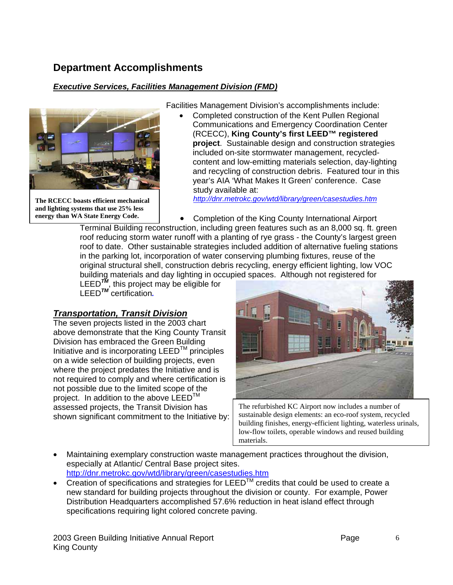## **Department Accomplishments**

## *Executive Services, Facilities Management Division (FMD)*



**The RCECC boasts efficient mechanical and lighting systems that use 25% less energy than WA State Energy Code.** 

Facilities Management Division's accomplishments include:

• Completed construction of the Kent Pullen Regional Communications and Emergency Coordination Center (RCECC), **King County's first LEED™ registered project**. Sustainable design and construction strategies included on-site stormwater management, recycledcontent and low-emitting materials selection, day-lighting and recycling of construction debris. Featured tour in this year's AIA 'What Makes It Green' conference. Case study available at:

*http://dnr.metrokc.gov/wtd/library/green/casestudies.htm*

• Completion of the King County International Airport

Terminal Building reconstruction, including green features such as an 8,000 sq. ft. green roof reducing storm water runoff with a planting of rye grass - the County's largest green roof to date. Other sustainable strategies included addition of alternative fueling stations in the parking lot, incorporation of water conserving plumbing fixtures, reuse of the original structural shell, construction debris recycling, energy efficient lighting, low VOC building materials and day lighting in occupied spaces. Although not registered for

LEED*TM*, this project may be eligible for LEED*TM* certification*.*

## *Transportation, Transit Division*

The seven projects listed in the 2003 chart above demonstrate that the King County Transit Division has embraced the Green Building Initiative and is incorporating  $LEED^{TM}$  principles on a wide selection of building projects, even where the project predates the Initiative and is not required to comply and where certification is not possible due to the limited scope of the project. In addition to the above LEED<sup>™</sup> assessed projects, the Transit Division has shown significant commitment to the Initiative by:



The refurbished KC Airport now includes a number of sustainable design elements: an eco-roof system, recycled building finishes, energy-efficient lighting, waterless urinals, low-flow toilets, operable windows and reused building materials.

- Maintaining exemplary construction waste management practices throughout the division, especially at Atlantic/ Central Base project sites. http://dnr.metrokc.gov/wtd/library/green/casestudies.htm
- Creation of specifications and strategies for LEED<sup>TM</sup> credits that could be used to create a new standard for building projects throughout the division or county. For example, Power Distribution Headquarters accomplished 57.6% reduction in heat island effect through specifications requiring light colored concrete paving.

2003 Green Building Initiative Annual Report Page King County

6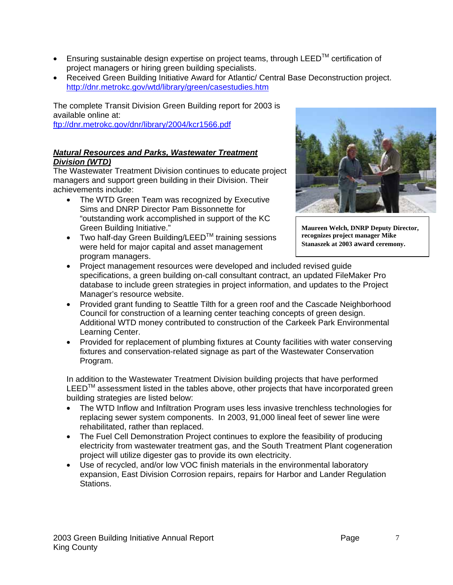- Ensuring sustainable design expertise on project teams, through LEED<sup>TM</sup> certification of project managers or hiring green building specialists.
- Received Green Building Initiative Award for Atlantic/ Central Base Deconstruction project. http://dnr.metrokc.gov/wtd/library/green/casestudies.htm

The complete Transit Division Green Building report for 2003 is available online at:

ftp://dnr.metrokc.gov/dnr/library/2004/kcr1566.pdf

#### *Natural Resources and Parks, Wastewater Treatment Division (WTD)*

The Wastewater Treatment Division continues to educate project managers and support green building in their Division. Their achievements include:

- The WTD Green Team was recognized by Executive Sims and DNRP Director Pam Bissonnette for "outstanding work accomplished in support of the KC Green Building Initiative."
- Two half-day Green Building/LEED<sup>TM</sup> training sessions were held for major capital and asset management program managers.



**Maureen Welch, DNRP Deputy Director, recognizes project manager Mike Stanaszek at 2003 award ceremony.**

- Project management resources were developed and included revised guide specifications, a green building on-call consultant contract, an updated FileMaker Pro database to include green strategies in project information, and updates to the Project Manager's resource website.
- Provided grant funding to Seattle Tilth for a green roof and the Cascade Neighborhood Council for construction of a learning center teaching concepts of green design. Additional WTD money contributed to construction of the Carkeek Park Environmental Learning Center.
- Provided for replacement of plumbing fixtures at County facilities with water conserving fixtures and conservation-related signage as part of the Wastewater Conservation Program.

In addition to the Wastewater Treatment Division building projects that have performed  $LEED<sup>TM</sup>$  assessment listed in the tables above, other projects that have incorporated green building strategies are listed below:

- The WTD Inflow and Infiltration Program uses less invasive trenchless technologies for replacing sewer system components. In 2003, 91,000 lineal feet of sewer line were rehabilitated, rather than replaced.
- The Fuel Cell Demonstration Project continues to explore the feasibility of producing electricity from wastewater treatment gas, and the South Treatment Plant cogeneration project will utilize digester gas to provide its own electricity.
- Use of recycled, and/or low VOC finish materials in the environmental laboratory expansion, East Division Corrosion repairs, repairs for Harbor and Lander Regulation Stations.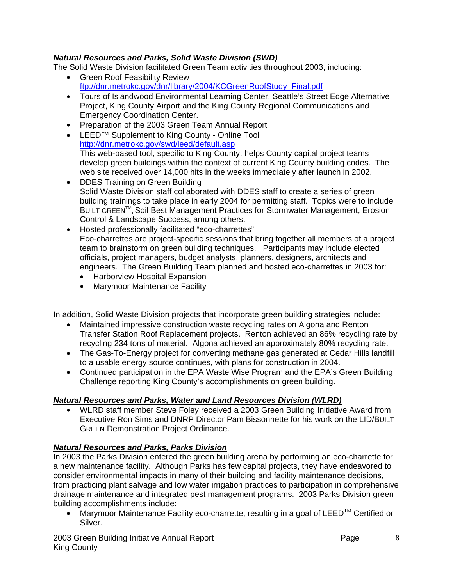#### *Natural Resources and Parks, Solid Waste Division (SWD)*

The Solid Waste Division facilitated Green Team activities throughout 2003, including:

- Green Roof Feasibility Review ftp://dnr.metrokc.gov/dnr/library/2004/KCGreenRoofStudy\_Final.pdf
- Tours of Islandwood Environmental Learning Center, Seattle's Street Edge Alternative Project, King County Airport and the King County Regional Communications and Emergency Coordination Center.
- Preparation of the 2003 Green Team Annual Report
- LEED™ Supplement to King County Online Tool http://dnr.metrokc.gov/swd/leed/default.asp This web-based tool, specific to King County, helps County capital project teams develop green buildings within the context of current King County building codes. The web site received over 14,000 hits in the weeks immediately after launch in 2002.
- DDES Training on Green Building Solid Waste Division staff collaborated with DDES staff to create a series of green building trainings to take place in early 2004 for permitting staff. Topics were to include BUILT GREENTM, Soil Best Management Practices for Stormwater Management, Erosion Control & Landscape Success, among others.
- Hosted professionally facilitated "eco-charrettes" Eco-charrettes are project-specific sessions that bring together all members of a project team to brainstorm on green building techniques. Participants may include elected officials, project managers, budget analysts, planners, designers, architects and engineers. The Green Building Team planned and hosted eco-charrettes in 2003 for:
	- Harborview Hospital Expansion
	- Marymoor Maintenance Facility

In addition, Solid Waste Division projects that incorporate green building strategies include:

- Maintained impressive construction waste recycling rates on Algona and Renton Transfer Station Roof Replacement projects. Renton achieved an 86% recycling rate by recycling 234 tons of material. Algona achieved an approximately 80% recycling rate.
- The Gas-To-Energy project for converting methane gas generated at Cedar Hills landfill to a usable energy source continues, with plans for construction in 2004.
- Continued participation in the EPA Waste Wise Program and the EPA's Green Building Challenge reporting King County's accomplishments on green building.

#### *Natural Resources and Parks, Water and Land Resources Division (WLRD)*

• WLRD staff member Steve Foley received a 2003 Green Building Initiative Award from Executive Ron Sims and DNRP Director Pam Bissonnette for his work on the LID/BUILT GREEN Demonstration Project Ordinance.

#### *Natural Resources and Parks, Parks Division*

In 2003 the Parks Division entered the green building arena by performing an eco-charrette for a new maintenance facility. Although Parks has few capital projects, they have endeavored to consider environmental impacts in many of their building and facility maintenance decisions, from practicing plant salvage and low water irrigation practices to participation in comprehensive drainage maintenance and integrated pest management programs. 2003 Parks Division green building accomplishments include:

• Marymoor Maintenance Facility eco-charrette, resulting in a goal of  $LEED^{TM}$  Certified or Silver.

2003 Green Building Initiative Annual Report Page King County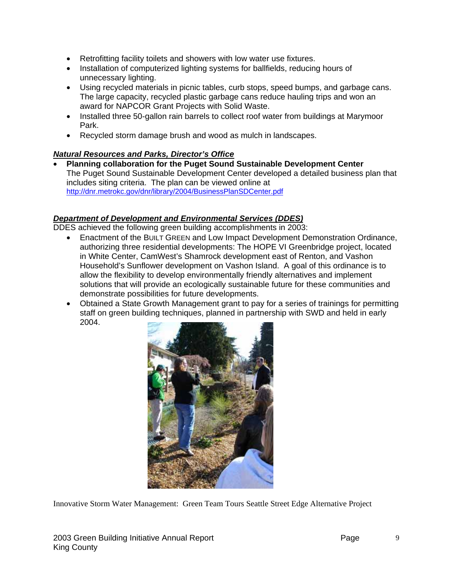- Retrofitting facility toilets and showers with low water use fixtures.
- Installation of computerized lighting systems for ballfields, reducing hours of unnecessary lighting.
- Using recycled materials in picnic tables, curb stops, speed bumps, and garbage cans. The large capacity, recycled plastic garbage cans reduce hauling trips and won an award for NAPCOR Grant Projects with Solid Waste.
- Installed three 50-gallon rain barrels to collect roof water from buildings at Marymoor Park.
- Recycled storm damage brush and wood as mulch in landscapes.

#### *Natural Resources and Parks, Director's Office*

• **Planning collaboration for the Puget Sound Sustainable Development Center** The Puget Sound Sustainable Development Center developed a detailed business plan that includes siting criteria. The plan can be viewed online at http://dnr.metrokc.gov/dnr/library/2004/BusinessPlanSDCenter.pdf

#### *Department of Development and Environmental Services (DDES)*

DDES achieved the following green building accomplishments in 2003:

- Enactment of the BUILT GREEN and Low Impact Development Demonstration Ordinance, authorizing three residential developments: The HOPE VI Greenbridge project, located in White Center, CamWest's Shamrock development east of Renton, and Vashon Household's Sunflower development on Vashon Island. A goal of this ordinance is to allow the flexibility to develop environmentally friendly alternatives and implement solutions that will provide an ecologically sustainable future for these communities and demonstrate possibilities for future developments.
- Obtained a State Growth Management grant to pay for a series of trainings for permitting staff on green building techniques, planned in partnership with SWD and held in early 2004.



Innovative Storm Water Management: Green Team Tours Seattle Street Edge Alternative Project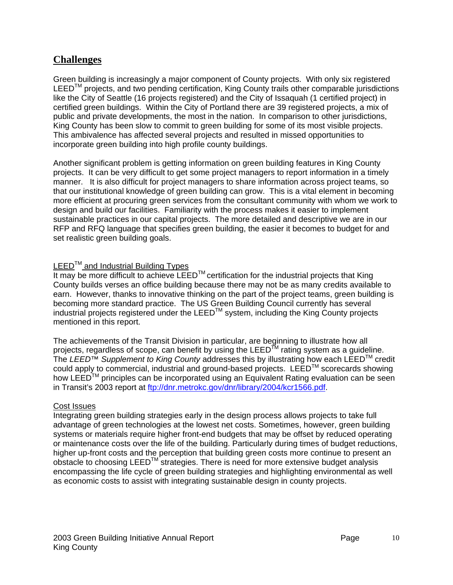## **Challenges**

Green building is increasingly a major component of County projects. With only six registered  $LEED<sup>TM</sup>$  projects, and two pending certification, King County trails other comparable jurisdictions like the City of Seattle (16 projects registered) and the City of Issaquah (1 certified project) in certified green buildings. Within the City of Portland there are 39 registered projects, a mix of public and private developments, the most in the nation. In comparison to other jurisdictions, King County has been slow to commit to green building for some of its most visible projects. This ambivalence has affected several projects and resulted in missed opportunities to incorporate green building into high profile county buildings.

Another significant problem is getting information on green building features in King County projects. It can be very difficult to get some project managers to report information in a timely manner. It is also difficult for project managers to share information across project teams, so that our institutional knowledge of green building can grow. This is a vital element in becoming more efficient at procuring green services from the consultant community with whom we work to design and build our facilities. Familiarity with the process makes it easier to implement sustainable practices in our capital projects. The more detailed and descriptive we are in our RFP and RFQ language that specifies green building, the easier it becomes to budget for and set realistic green building goals.

#### $LEED^{TM}$  and Industrial Building Types

It may be more difficult to achieve  $LEED^{TM}$  certification for the industrial projects that King County builds verses an office building because there may not be as many credits available to earn. However, thanks to innovative thinking on the part of the project teams, green building is becoming more standard practice. The US Green Building Council currently has several industrial projects registered under the LEED<sup>TM</sup> system, including the King County projects mentioned in this report.

The achievements of the Transit Division in particular, are beginning to illustrate how all projects, regardless of scope, can benefit by using the LEEDTM rating system as a guideline. The *LEED™ Supplement to King County* addresses this by illustrating how each LEEDTM credit could apply to commercial, industrial and ground-based projects. LEED™ scorecards showing how LEED™ principles can be incorporated using an Equivalent Rating evaluation can be seen in Transit's 2003 report at ftp://dnr.metrokc.gov/dnr/library/2004/kcr1566.pdf.

#### Cost Issues

Integrating green building strategies early in the design process allows projects to take full advantage of green technologies at the lowest net costs. Sometimes, however, green building systems or materials require higher front-end budgets that may be offset by reduced operating or maintenance costs over the life of the building. Particularly during times of budget reductions, higher up-front costs and the perception that building green costs more continue to present an obstacle to choosing LEED™ strategies. There is need for more extensive budget analysis encompassing the life cycle of green building strategies and highlighting environmental as well as economic costs to assist with integrating sustainable design in county projects.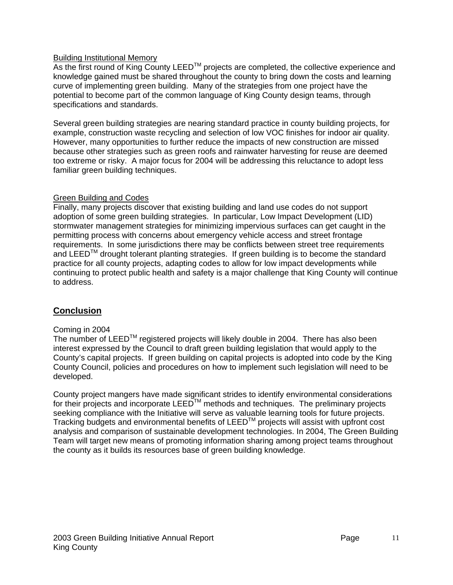#### Building Institutional Memory

As the first round of King County LEED<sup>TM</sup> projects are completed, the collective experience and knowledge gained must be shared throughout the county to bring down the costs and learning curve of implementing green building. Many of the strategies from one project have the potential to become part of the common language of King County design teams, through specifications and standards.

Several green building strategies are nearing standard practice in county building projects, for example, construction waste recycling and selection of low VOC finishes for indoor air quality. However, many opportunities to further reduce the impacts of new construction are missed because other strategies such as green roofs and rainwater harvesting for reuse are deemed too extreme or risky. A major focus for 2004 will be addressing this reluctance to adopt less familiar green building techniques.

#### Green Building and Codes

Finally, many projects discover that existing building and land use codes do not support adoption of some green building strategies. In particular, Low Impact Development (LID) stormwater management strategies for minimizing impervious surfaces can get caught in the permitting process with concerns about emergency vehicle access and street frontage requirements. In some jurisdictions there may be conflicts between street tree requirements and LEED<sup>TM</sup> drought tolerant planting strategies. If green building is to become the standard practice for all county projects, adapting codes to allow for low impact developments while continuing to protect public health and safety is a major challenge that King County will continue to address.

#### **Conclusion**

#### Coming in 2004

The number of LEED<sup>™</sup> registered projects will likely double in 2004. There has also been interest expressed by the Council to draft green building legislation that would apply to the County's capital projects. If green building on capital projects is adopted into code by the King County Council, policies and procedures on how to implement such legislation will need to be developed.

County project mangers have made significant strides to identify environmental considerations for their projects and incorporate LEED<sup>TM</sup> methods and techniques. The preliminary projects seeking compliance with the Initiative will serve as valuable learning tools for future projects. Tracking budgets and environmental benefits of LEEDTM projects will assist with upfront cost analysis and comparison of sustainable development technologies. In 2004, The Green Building Team will target new means of promoting information sharing among project teams throughout the county as it builds its resources base of green building knowledge.

11